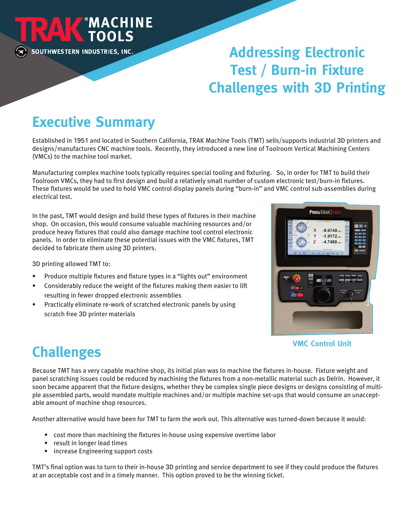

# **Addressing Electronic Test / Burn-in Fixture Challenges with 3D Printing**

# **Executive Summary**

Established in 1951 and located in Southern California, TRAK Machine Tools (TMT) sells/supports industrial 3D printers and designs/manufactures CNC machine tools. Recently, they introduced a new line of Toolroom Vertical Machining Centers (VMCs) to the machine tool market.

Manufacturing complex machine tools typically requires special tooling and fixturing. So, in order for TMT to build their Toolroom VMCs, they had to first design and build a relatively small number of custom electronic test/burn-in fixtures. These fixtures would be used to hold VMC control display panels during "burn-in" and VMC control sub-assemblies during electrical test.

In the past, TMT would design and build these types of fixtures in their machine shop. On occasion, this would consume valuable machining resources and/or produce heavy fixtures that could also damage machine tool control electronic panels. In order to eliminate these potential issues with the VMC fixtures, TMT decided to fabricate them using 3D printers.

3D printing allowed TMT to:

- Produce multiple fixtures and fixture types in a "lights out" environment
- Considerably reduce the weight of the fixtures making them easier to lift resulting in fewer dropped electronic assemblies
- Practically eliminate re-work of scratched electronic panels by using scratch free 3D printer materials



**VMC Control Unit**

# **Challenges**

Because TMT has a very capable machine shop, its initial plan was to machine the fixtures in-house. Fixture weight and panel scratching issues could be reduced by machining the fixtures from a non-metallic material such as Delrin. However, it soon became apparent that the fixture designs, whether they be complex single piece designs or designs consisting of multiple assembled parts, would mandate multiple machines and/or multiple machine set-ups that would consume an unacceptable amount of machine shop resources.

Another alternative would have been for TMT to farm the work out. This alternative was turned-down because it would:

- cost more than machining the fixtures in-house using expensive overtime labor
- result in longer lead times
- increase Engineering support costs

TMT's final option was to turn to their in-house 3D printing and service department to see if they could produce the fixtures at an acceptable cost and in a timely manner. This option proved to be the winning ticket.